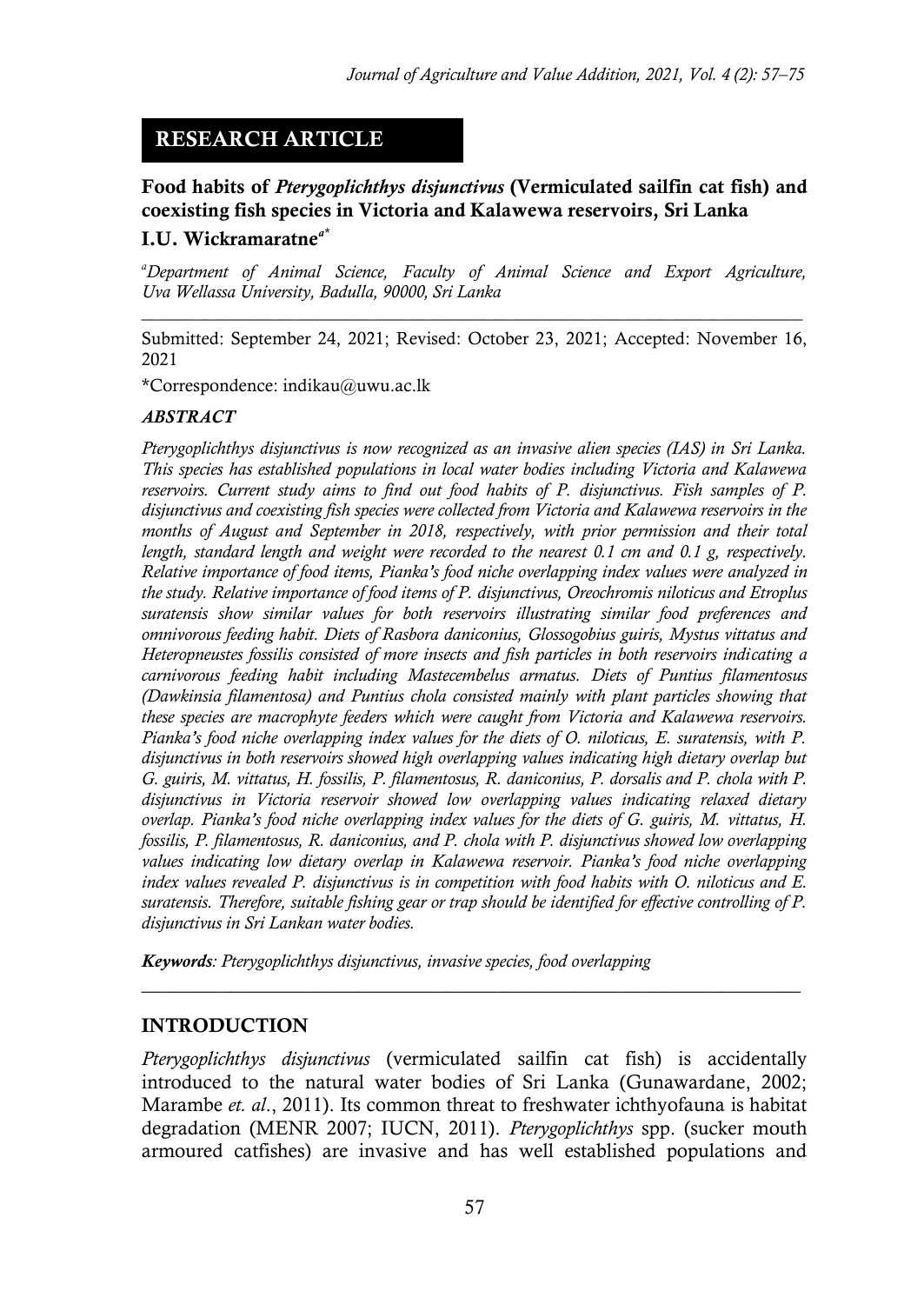# **RESEARCH ARTICLE**

### **Food habits of** *Pterygoplichthys disjunctivus* **(Vermiculated sailfin cat fish) and coexisting fish species in Victoria and Kalawewa reservoirs, Sri Lanka I.U. Wickramaratne***a\**

*<sup>a</sup>Department of Animal Science, Faculty of Animal Science and Export Agriculture, Uva Wellassa University, Badulla, 90000, Sri Lanka \_\_\_\_\_\_\_\_\_\_\_\_\_\_\_\_\_\_\_\_\_\_\_\_\_\_\_\_\_\_\_\_\_\_\_\_\_\_\_\_\_\_\_\_\_\_\_\_\_\_\_\_\_\_\_\_\_\_\_\_\_\_\_\_\_\_\_\_\_\_\_\_\_\_*

Submitted: September 24, 2021; Revised: October 23, 2021; Accepted: November 16, 2021

\*Correspondence: indikau@uwu.ac.lk

#### *ABSTRACT*

*Pterygoplichthys disjunctivus is now recognized as an invasive alien species (IAS) in Sri Lanka. This species has established populations in local water bodies including Victoria and Kalawewa reservoirs. Current study aims to find out food habits of P. disjunctivus. Fish samples of P. disjunctivus and coexisting fish species were collected from Victoria and Kalawewa reservoirs in the months of August and September in 2018, respectively, with prior permission and their total length, standard length and weight were recorded to the nearest 0.1 cm and 0.1 g, respectively. Relative importance of food items, Pianka's food niche overlapping index values were analyzed in the study. Relative importance of food items of P. disjunctivus, Oreochromis niloticus and Etroplus suratensis show similar values for both reservoirs illustrating similar food preferences and omnivorous feeding habit. Diets of Rasbora daniconius, Glossogobius guiris, Mystus vittatus and Heteropneustes fossilis consisted of more insects and fish particles in both reservoirs indicating a carnivorous feeding habit including Mastecembelus armatus. Diets of Puntius filamentosus (Dawkinsia filamentosa) and Puntius chola consisted mainly with plant particles showing that these species are macrophyte feeders which were caught from Victoria and Kalawewa reservoirs. Pianka's food niche overlapping index values for the diets of O. niloticus, E. suratensis, with P. disjunctivus in both reservoirs showed high overlapping values indicating high dietary overlap but G. guiris, M. vittatus, H. fossilis, P. filamentosus, R. daniconius, P. dorsalis and P. chola with P. disjunctivus in Victoria reservoir showed low overlapping values indicating relaxed dietary overlap. Pianka's food niche overlapping index values for the diets of G. guiris, M. vittatus, H. fossilis, P. filamentosus, R. daniconius, and P. chola with P. disjunctivus showed low overlapping values indicating low dietary overlap in Kalawewa reservoir. Pianka's food niche overlapping index values revealed P. disjunctivus is in competition with food habits with O. niloticus and E. suratensis. Therefore, suitable fishing gear or trap should be identified for effective controlling of P. disjunctivus in Sri Lankan water bodies.*

*Keywords: Pterygoplichthys disjunctivus, invasive species, food overlapping*

#### **INTRODUCTION**

*Pterygoplichthys disjunctivus* (vermiculated sailfin cat fish) is accidentally introduced to the natural water bodies of Sri Lanka (Gunawardane, 2002; Marambe *et. al*., 2011). Its common threat to freshwater ichthyofauna is habitat degradation (MENR 2007; IUCN, 2011). *Pterygoplichthys* spp. (sucker mouth armoured catfishes) are invasive and has well established populations and

*\_\_\_\_\_\_\_\_\_\_\_\_\_\_\_\_\_\_\_\_\_\_\_\_\_\_\_\_\_\_\_\_\_\_\_\_\_\_\_\_\_\_\_\_\_\_\_\_\_\_\_\_\_\_\_\_\_\_\_\_\_\_\_\_\_\_\_*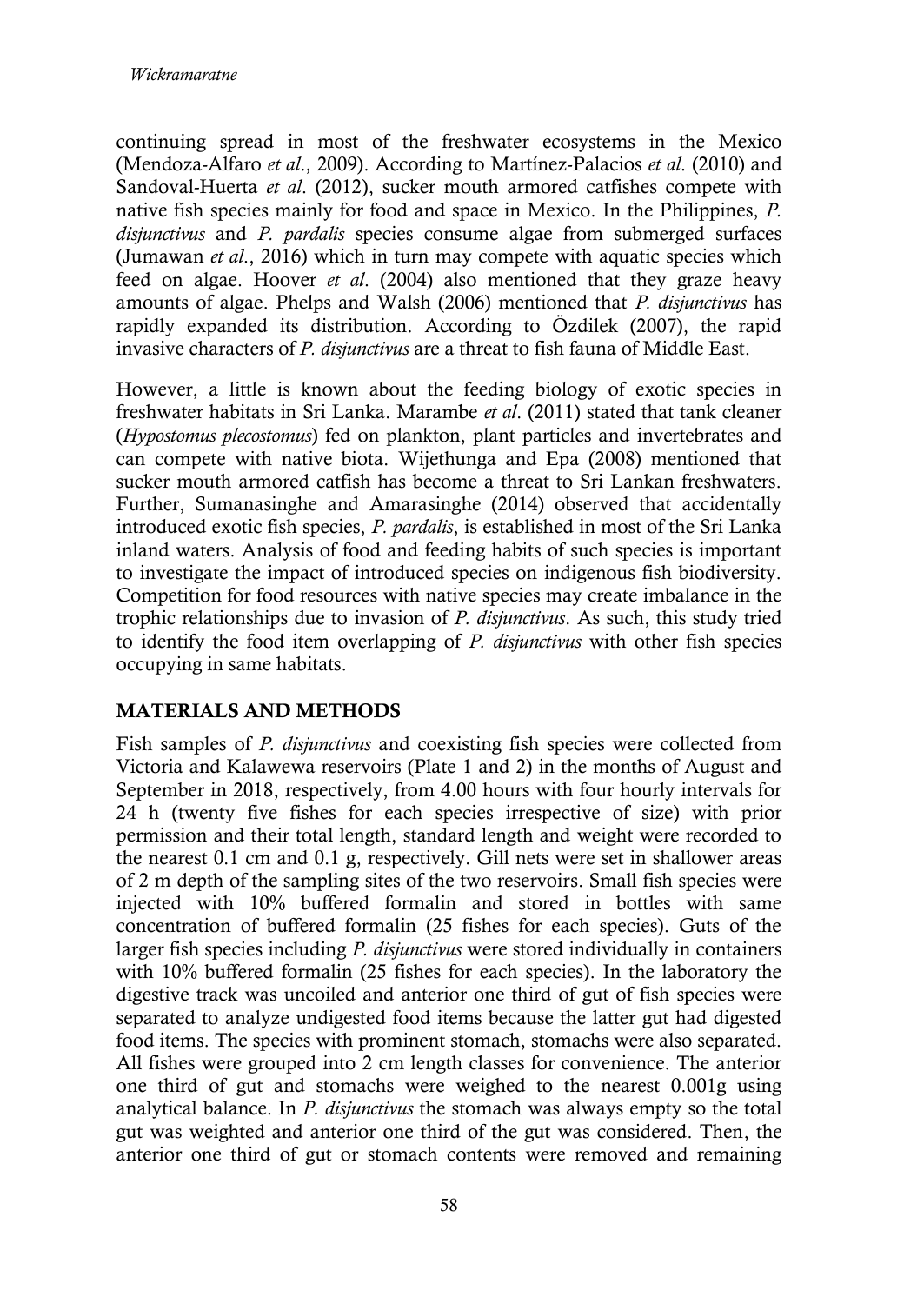continuing spread in most of the freshwater ecosystems in the Mexico [\(Mendoza-Alfaro](http://www.scielo.br/scielo.php?script=sci_arttext&pid=S1679-62252016000300211#B30) *et al*., 2009). According to [Martínez-Palacios](http://www.scielo.br/scielo.php?script=sci_arttext&pid=S1679-62252016000300211#B27) *et al*. (2010) and [Sandoval-Huerta](http://www.scielo.br/scielo.php?script=sci_arttext&pid=S1679-62252016000300211#B41) *et al*. (2012), sucker mouth armored catfishes compete with native fish species mainly for food and space in Mexico. In the Philippines, *P. disjunctivus* and *P. pardalis* species consume algae from submerged surfaces (Jumawan *et al*., 2016) which in turn may compete with aquatic species which feed on algae. Hoover *et al*. (2004) also mentioned that they graze heavy amounts of algae. Phelps and Walsh (2006) mentioned that *P. disjunctivus* has rapidly expanded its distribution. According to Özdilek (2007), the rapid invasive characters of *P. disjunctivus* are a threat to fish fauna of Middle East.

However, a little is known about the feeding biology of exotic species in freshwater habitats in Sri Lanka. Marambe *et al*. (2011) stated that tank cleaner (*Hypostomus plecostomus*) fed on plankton, plant particles and invertebrates and can compete with native biota. Wijethunga and Epa (2008) mentioned that sucker mouth armored catfish has become a threat to Sri Lankan freshwaters. Further, Sumanasinghe and Amarasinghe (2014) observed that accidentally introduced exotic fish species, *P. pardalis*, is established in most of the Sri Lanka inland waters. Analysis of food and feeding habits of such species is important to investigate the impact of introduced species on indigenous fish biodiversity. Competition for food resources with native species may create imbalance in the trophic relationships due to invasion of *P. disjunctivus*. As such, this study tried to identify the food item overlapping of *P. disjunctivus* with other fish species occupying in same habitats.

### **MATERIALS AND METHODS**

Fish samples of *P. disjunctivus* and coexisting fish species were collected from Victoria and Kalawewa reservoirs (Plate 1 and 2) in the months of August and September in 2018, respectively, from 4.00 hours with four hourly intervals for 24 h (twenty five fishes for each species irrespective of size) with prior permission and their total length, standard length and weight were recorded to the nearest 0.1 cm and 0.1 g, respectively. Gill nets were set in shallower areas of 2 m depth of the sampling sites of the two reservoirs. Small fish species were injected with 10% buffered formalin and stored in bottles with same concentration of buffered formalin (25 fishes for each species). Guts of the larger fish species including *P. disjunctivus* were stored individually in containers with 10% buffered formalin (25 fishes for each species). In the laboratory the digestive track was uncoiled and anterior one third of gut of fish species were separated to analyze undigested food items because the latter gut had digested food items. The species with prominent stomach, stomachs were also separated. All fishes were grouped into 2 cm length classes for convenience. The anterior one third of gut and stomachs were weighed to the nearest 0.001g using analytical balance. In *P. disjunctivus* the stomach was always empty so the total gut was weighted and anterior one third of the gut was considered. Then, the anterior one third of gut or stomach contents were removed and remaining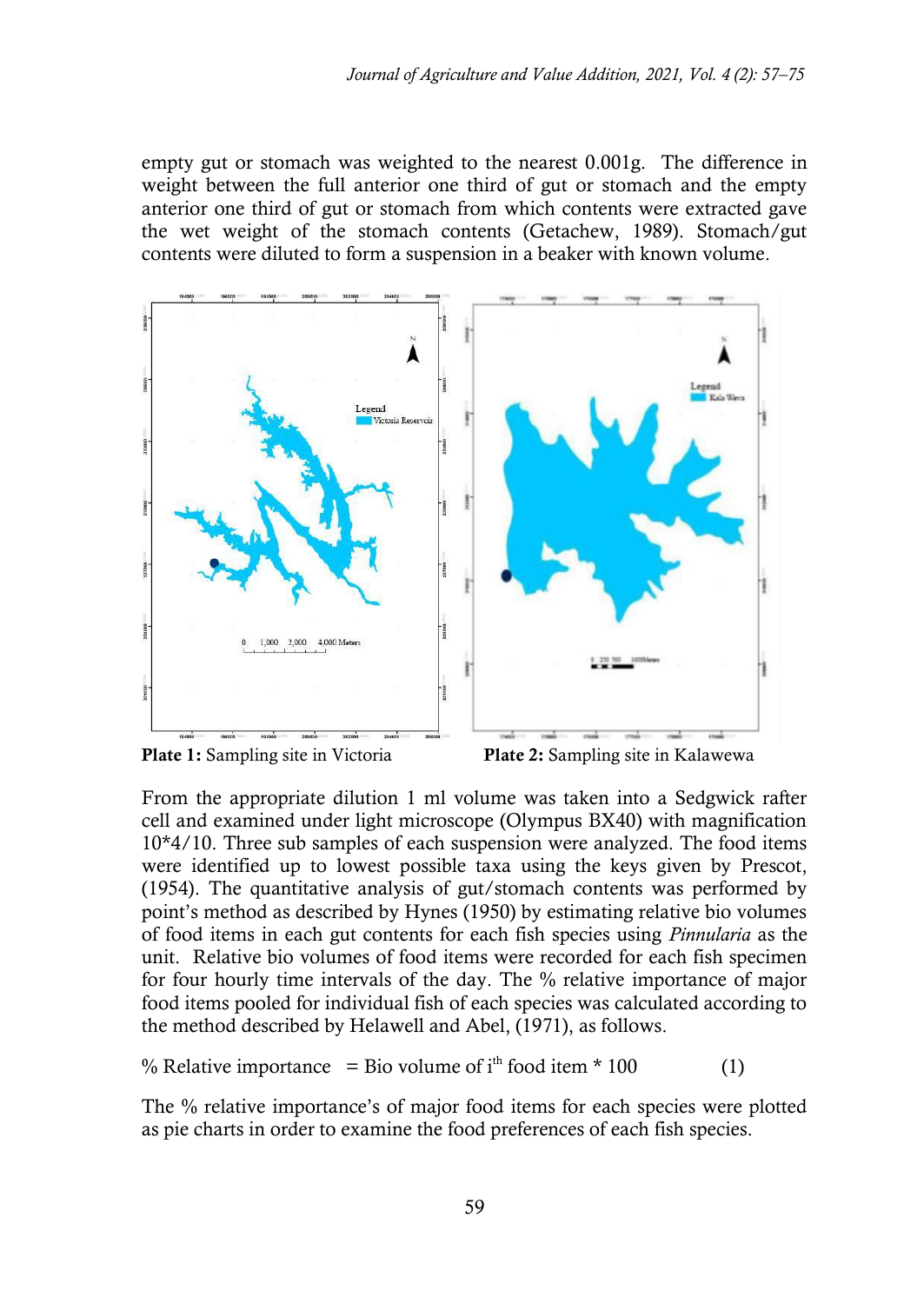empty gut or stomach was weighted to the nearest 0.001g. The difference in weight between the full anterior one third of gut or stomach and the empty anterior one third of gut or stomach from which contents were extracted gave the wet weight of the stomach contents (Getachew, 1989). Stomach/gut contents were diluted to form a suspension in a beaker with known volume.



**Plate 1:** Sampling site in Victoria **Plate 2:** Sampling site in Kalawewa From the appropriate dilution 1 ml volume was taken into a Sedgwick rafter cell and examined under light microscope (Olympus BX40) with magnification 10\*4/10. Three sub samples of each suspension were analyzed. The food items were identified up to lowest possible taxa using the keys given by Prescot, (1954). The quantitative analysis of gut/stomach contents was performed by point's method as described by Hynes (1950) by estimating relative bio volumes of food items in each gut contents for each fish species using *Pinnularia* as the unit. Relative bio volumes of food items were recorded for each fish specimen for four hourly time intervals of the day. The % relative importance of major food items pooled for individual fish of each species was calculated according to

% Relative importance = Bio volume of 
$$
i^{th}
$$
 food item \* 100 (1)

the method described by Helawell and Abel, (1971), as follows.

The % relative importance's of major food items for each species were plotted as pie charts in order to examine the food preferences of each fish species.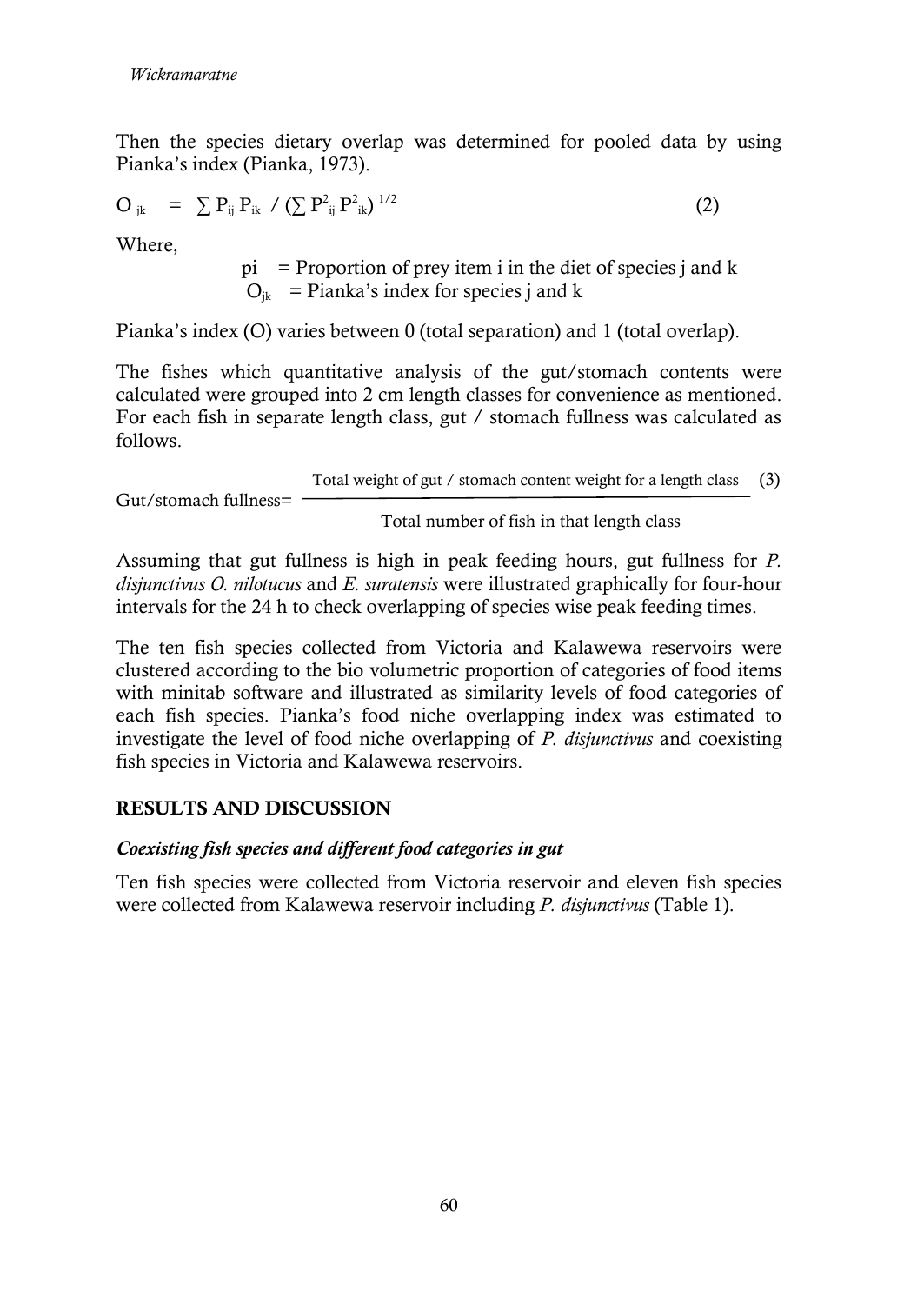Then the species dietary overlap was determined for pooled data by using Pianka's index (Pianka, 1973).

$$
O_{jk} = \sum P_{ij} P_{ik} / (\sum P_{ij}^2 P_{ik}^2)^{1/2}
$$
 (2)

Where,

 $pi =$  Proportion of prey item i in the diet of species j and k  $O_{ik}$  = Pianka's index for species j and k

Pianka's index (O) varies between 0 (total separation) and 1 (total overlap).

The fishes which quantitative analysis of the gut/stomach contents were calculated were grouped into 2 cm length classes for convenience as mentioned. For each fish in separate length class, gut / stomach fullness was calculated as follows.

Total weight of gut / stomach content weight for a length class (3)

Gut/stomach fullness= -

Total number of fish in that length class

Assuming that gut fullness is high in peak feeding hours, gut fullness for *P. disjunctivus O. nilotucus* and *E. suratensis* were illustrated graphically for four-hour intervals for the 24 h to check overlapping of species wise peak feeding times.

The ten fish species collected from Victoria and Kalawewa reservoirs were clustered according to the bio volumetric proportion of categories of food items with minitab software and illustrated as similarity levels of food categories of each fish species. Pianka's food niche overlapping index was estimated to investigate the level of food niche overlapping of *P. disjunctivus* and coexisting fish species in Victoria and Kalawewa reservoirs.

## **RESULTS AND DISCUSSION**

### *Coexisting fish species and different food categories in gut*

Ten fish species were collected from Victoria reservoir and eleven fish species were collected from Kalawewa reservoir including *P. disjunctivus* (Table 1).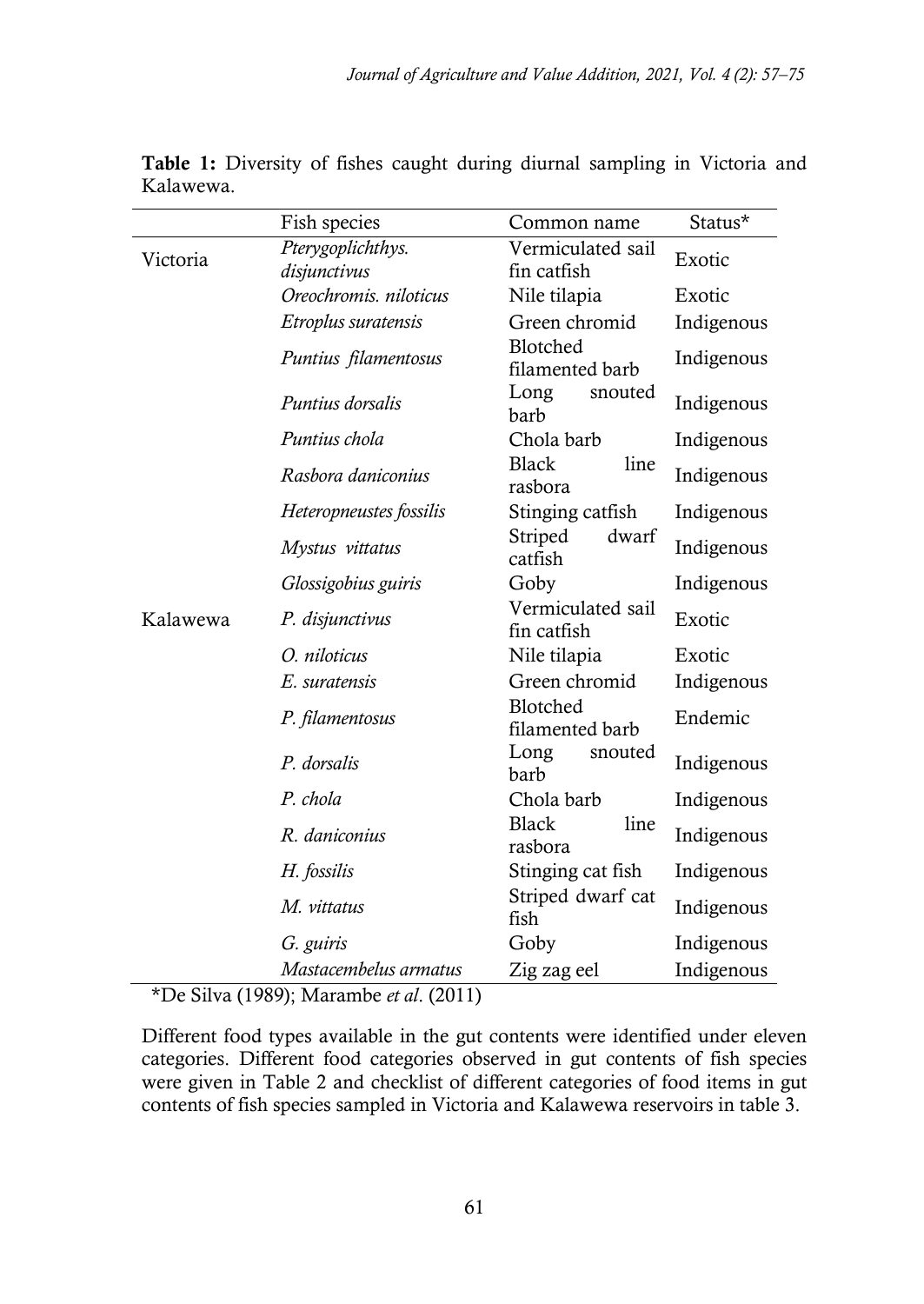|          | Fish species            | Common name                      | Status*    |  |
|----------|-------------------------|----------------------------------|------------|--|
| Victoria | Pterygoplichthys.       | Vermiculated sail                | Exotic     |  |
|          | disjunctivus            | fin catfish                      |            |  |
|          | Oreochromis. niloticus  | Nile tilapia                     | Exotic     |  |
|          | Etroplus suratensis     | Green chromid                    | Indigenous |  |
|          | Puntius filamentosus    | Blotched<br>filamented barb      | Indigenous |  |
|          | Puntius dorsalis        | Long<br>snouted<br>barb          | Indigenous |  |
|          | Puntius chola           | Chola barb                       | Indigenous |  |
| Kalawewa | Rasbora daniconius      | <b>Black</b><br>line<br>rasbora  | Indigenous |  |
|          | Heteropneustes fossilis | Stinging catfish                 | Indigenous |  |
|          | Mystus vittatus         | Striped<br>dwarf<br>catfish      | Indigenous |  |
|          | Glossigobius guiris     | Goby                             | Indigenous |  |
|          | P. disjunctivus         | Vermiculated sail<br>fin catfish | Exotic     |  |
|          | O. niloticus            | Nile tilapia                     | Exotic     |  |
|          | E. suratensis           | Green chromid                    | Indigenous |  |
|          | P. filamentosus         | Blotched<br>filamented barb      | Endemic    |  |
|          | P. dorsalis             | Long<br>snouted<br>barb          | Indigenous |  |
|          | P. chola                | Chola barb                       | Indigenous |  |
|          | R. daniconius           | <b>Black</b><br>line<br>rasbora  | Indigenous |  |
|          | H. fossilis             | Stinging cat fish                | Indigenous |  |
|          | M. vittatus             | Striped dwarf cat<br>fish        | Indigenous |  |
|          | G. guiris               | Goby                             | Indigenous |  |
|          | Mastacembelus armatus   | Zig zag eel                      | Indigenous |  |

**Table 1:** Diversity of fishes caught during diurnal sampling in Victoria and Kalawewa.

\*De Silva (1989); Marambe *et al*. (2011)

Different food types available in the gut contents were identified under eleven categories. Different food categories observed in gut contents of fish species were given in Table 2 and checklist of different categories of food items in gut contents of fish species sampled in Victoria and Kalawewa reservoirs in table 3.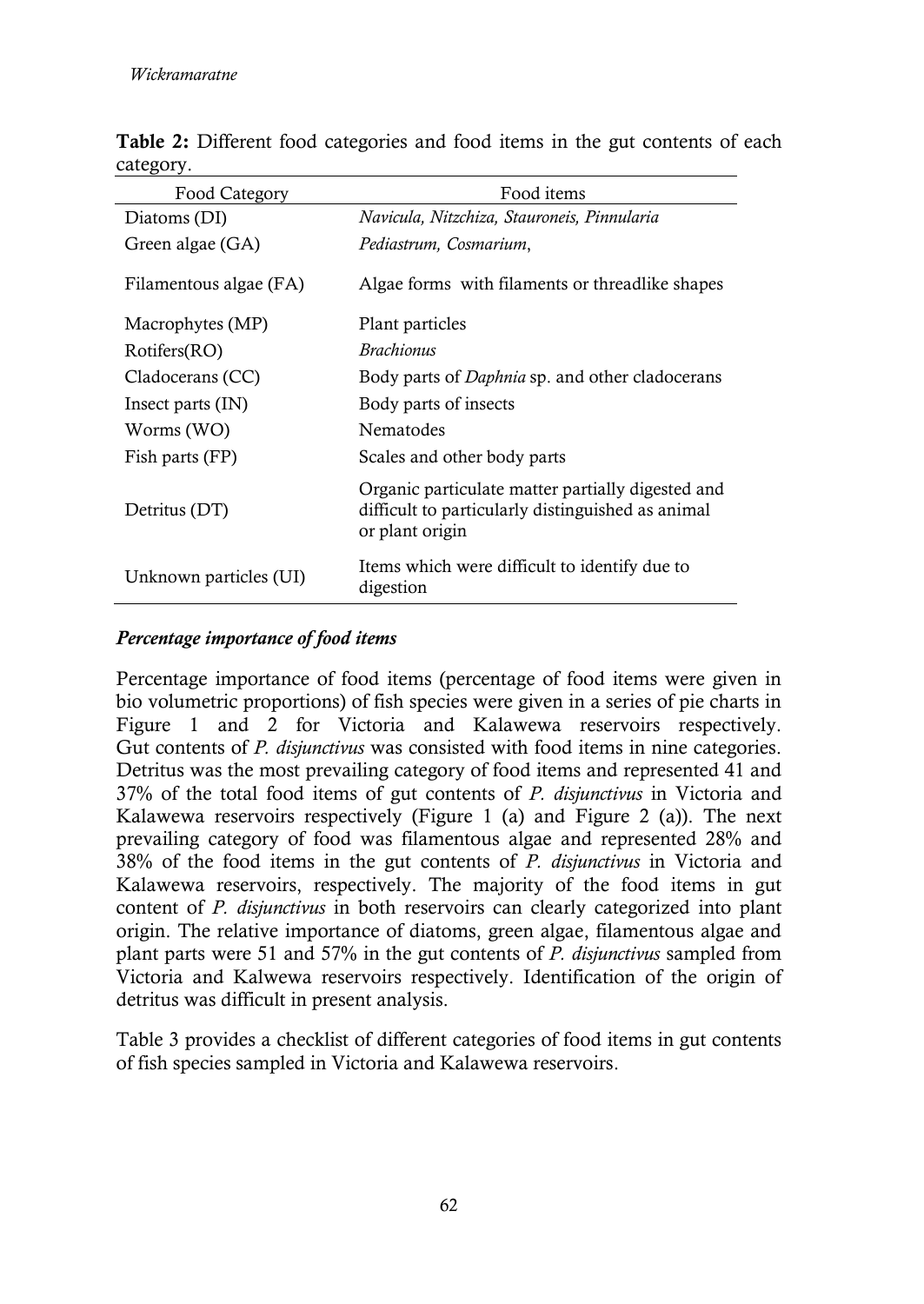| Food Category          | Food items                                                                                                                |  |  |  |  |
|------------------------|---------------------------------------------------------------------------------------------------------------------------|--|--|--|--|
| Diatoms (DI)           | Navicula, Nitzchiza, Stauroneis, Pinnularia                                                                               |  |  |  |  |
| Green algae (GA)       | Pediastrum, Cosmarium,                                                                                                    |  |  |  |  |
| Filamentous algae (FA) | Algae forms with filaments or threadlike shapes                                                                           |  |  |  |  |
| Macrophytes (MP)       | Plant particles                                                                                                           |  |  |  |  |
| Rotifers(RO)           | <i>Brachionus</i>                                                                                                         |  |  |  |  |
| Cladocerans (CC)       | Body parts of <i>Daphnia</i> sp. and other cladocerans                                                                    |  |  |  |  |
| Insect parts $(IN)$    | Body parts of insects                                                                                                     |  |  |  |  |
| Worms (WO)             | Nematodes                                                                                                                 |  |  |  |  |
| Fish parts (FP)        | Scales and other body parts                                                                                               |  |  |  |  |
| Detritus (DT)          | Organic particulate matter partially digested and<br>difficult to particularly distinguished as animal<br>or plant origin |  |  |  |  |
| Unknown particles (UI) | Items which were difficult to identify due to<br>digestion                                                                |  |  |  |  |

**Table 2:** Different food categories and food items in the gut contents of each category.

### *Percentage importance of food items*

Percentage importance of food items (percentage of food items were given in bio volumetric proportions) of fish species were given in a series of pie charts in Figure 1 and 2 for Victoria and Kalawewa reservoirs respectively. Gut contents of *P. disjunctivus* was consisted with food items in nine categories. Detritus was the most prevailing category of food items and represented 41 and 37% of the total food items of gut contents of *P. disjunctivus* in Victoria and Kalawewa reservoirs respectively (Figure 1 (a) and Figure 2 (a)). The next prevailing category of food was filamentous algae and represented 28% and 38% of the food items in the gut contents of *P. disjunctivus* in Victoria and Kalawewa reservoirs, respectively. The majority of the food items in gut content of *P. disjunctivus* in both reservoirs can clearly categorized into plant origin. The relative importance of diatoms, green algae, filamentous algae and plant parts were 51 and 57% in the gut contents of *P. disjunctivus* sampled from Victoria and Kalwewa reservoirs respectively. Identification of the origin of detritus was difficult in present analysis.

Table 3 provides a checklist of different categories of food items in gut contents of fish species sampled in Victoria and Kalawewa reservoirs.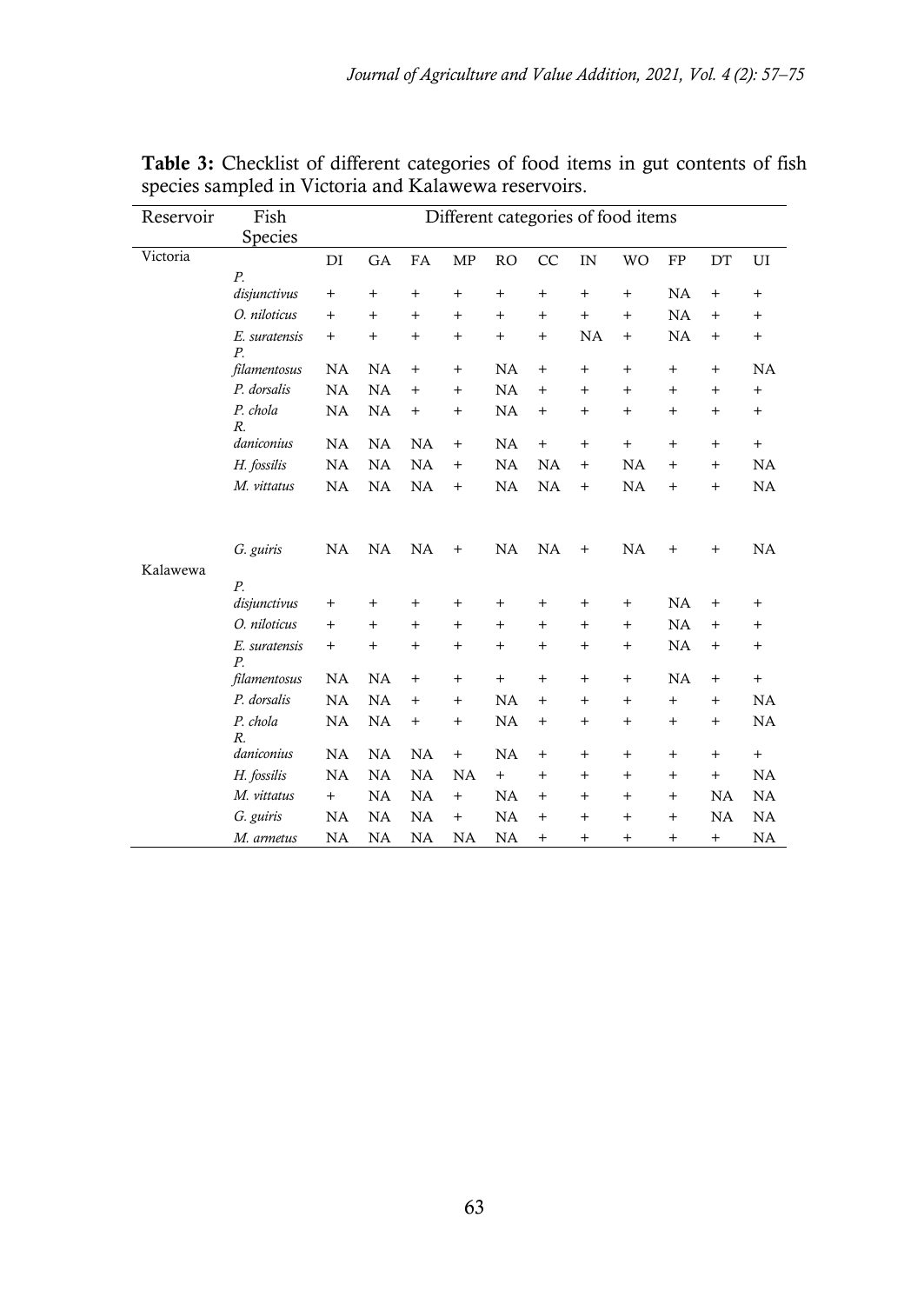| Reservoir | Fish                    |           |                |           |        |           |                |        | Different categories of food items |            |           |           |
|-----------|-------------------------|-----------|----------------|-----------|--------|-----------|----------------|--------|------------------------------------|------------|-----------|-----------|
|           | Species                 |           |                |           |        |           |                |        |                                    |            |           |           |
| Victoria  | $P$ .                   | DI        | GA             | FA        | MP     | <b>RO</b> | CC             | IN     | <b>WO</b>                          | ${\rm FP}$ | DT        | UI        |
|           | disjunctivus            | $^{+}$    | $\overline{+}$ | $^{+}$    | $^{+}$ | $^{+}$    | $\ddot{}$      | $^{+}$ | $^{+}$                             | NA         | $^{+}$    | $^{+}$    |
|           | O. niloticus            | $^{+}$    | $^{+}$         | $^{+}$    | $^{+}$ | $^{+}$    | $\ddot{}$      | $^{+}$ | $^{+}$                             | NA         | $^{+}$    | $^{+}$    |
|           | E. suratensis<br>$P$ .  | $^{+}$    | $^{+}$         | $^{+}$    | $^{+}$ | $^{+}$    | $^{+}$         | NA     | $+$                                | NA         | $^{+}$    | $^{+}$    |
|           | filamentosus            | <b>NA</b> | <b>NA</b>      | $^{+}$    | $^{+}$ | NA        | $^{+}$         | $^{+}$ | $+$                                | $\ddot{}$  | $^{+}$    | NA        |
|           | P. dorsalis             | <b>NA</b> | NA             | $^{+}$    | $^{+}$ | NA        | $^{+}$         | $^{+}$ | $+$                                | $+$        | $^{+}$    | $\ddot{}$ |
|           | P. chola<br>$R_{\cdot}$ | <b>NA</b> | NA             | $^{+}$    | $^{+}$ | NA        | $\ddot{}$      | $^{+}$ | $^{+}$                             | $+$        | $^{+}$    | $^{+}$    |
|           | daniconius              | NA        | NA             | <b>NA</b> | $^{+}$ | NA        | $^{+}$         | $+$    | $^{+}$                             | $+$        | $^{+}$    | $^{+}$    |
|           | H. fossilis             | NA        | NA             | <b>NA</b> | $^{+}$ | NA        | <b>NA</b>      | $^{+}$ | NA                                 | $^{+}$     | $^{+}$    | NA        |
|           | M. vittatus             | <b>NA</b> | NA             | NA        | $^{+}$ | NA        | NA             | $+$    | NA                                 | $^{+}$     | $^{+}$    | NA        |
|           | G. guiris               | NA        | NA             | NA        | $^{+}$ | NA        | <b>NA</b>      | $^{+}$ | NA                                 | $^{+}$     | $^{+}$    | NA        |
| Kalawewa  |                         |           |                |           |        |           |                |        |                                    |            |           |           |
|           | P.<br>disjunctivus      | $^+$      | $^{+}$         | $^{+}$    | $^{+}$ | $\ddot{}$ | $\ddot{}$      | $^{+}$ | $\ddot{}$                          | NA         | $^{+}$    | $^{+}$    |
|           | O. niloticus            | $^{+}$    | $\ddot{}$      | $^{+}$    | $^{+}$ | $^{+}$    | $\overline{+}$ | $^{+}$ | $^{+}$                             | NA         | $^{+}$    | $^{+}$    |
|           | E. suratensis<br>$P$ .  | $^{+}$    | $^{+}$         | $^{+}$    | $^{+}$ | $\ddot{}$ | $\ddot{}$      | $^{+}$ | $^{+}$                             | NA         | $^{+}$    | $^{+}$    |
|           | filamentosus            | <b>NA</b> | <b>NA</b>      | $^{+}$    | $^{+}$ | $\ddot{}$ | $^{+}$         | $^{+}$ | $^{+}$                             | NA         | $^{+}$    | $^{+}$    |
|           | P. dorsalis             | <b>NA</b> | NA             | $^{+}$    | $^{+}$ | NA        | $^{+}$         | $+$    | $\ddot{}$                          | $\ddot{}$  | $^{+}$    | NA        |
|           | P. chola<br>$R_{\cdot}$ | NA        | NA             | $^{+}$    | $^{+}$ | NA        | $^{+}$         | $^{+}$ | $^{+}$                             | $^{+}$     | $^{+}$    | NA        |
|           | daniconius              | NA        | NA             | NA        | $^{+}$ | NA        | $^{+}$         | $^{+}$ | $^{+}$                             | $\ddot{}$  | $^{+}$    | $^{+}$    |
|           | H. fossilis             | NA        | NA             | NA        | NA     | $\ddot{}$ | $^{+}$         | $^{+}$ | $^{+}$                             | $^{+}$     | $^{+}$    | NA        |
|           | M. vittatus             | $^{+}$    | NA             | NA        | $^{+}$ | NA        | $\ddot{}$      | $^{+}$ | $\ddot{}$                          | $\ddot{}$  | NA        | NA        |
|           | G. guiris               | <b>NA</b> | <b>NA</b>      | NA        | $^{+}$ | NA        | $^{+}$         | $^{+}$ | $^{+}$                             | $^{+}$     | <b>NA</b> | NA        |
|           | M. armetus              | <b>NA</b> | NA             | NA        | NA     | NA        | $^{+}$         | $^{+}$ | $\ddot{}$                          | $\ddot{}$  | $^{+}$    | NA        |

**Table 3:** Checklist of different categories of food items in gut contents of fish species sampled in Victoria and Kalawewa reservoirs.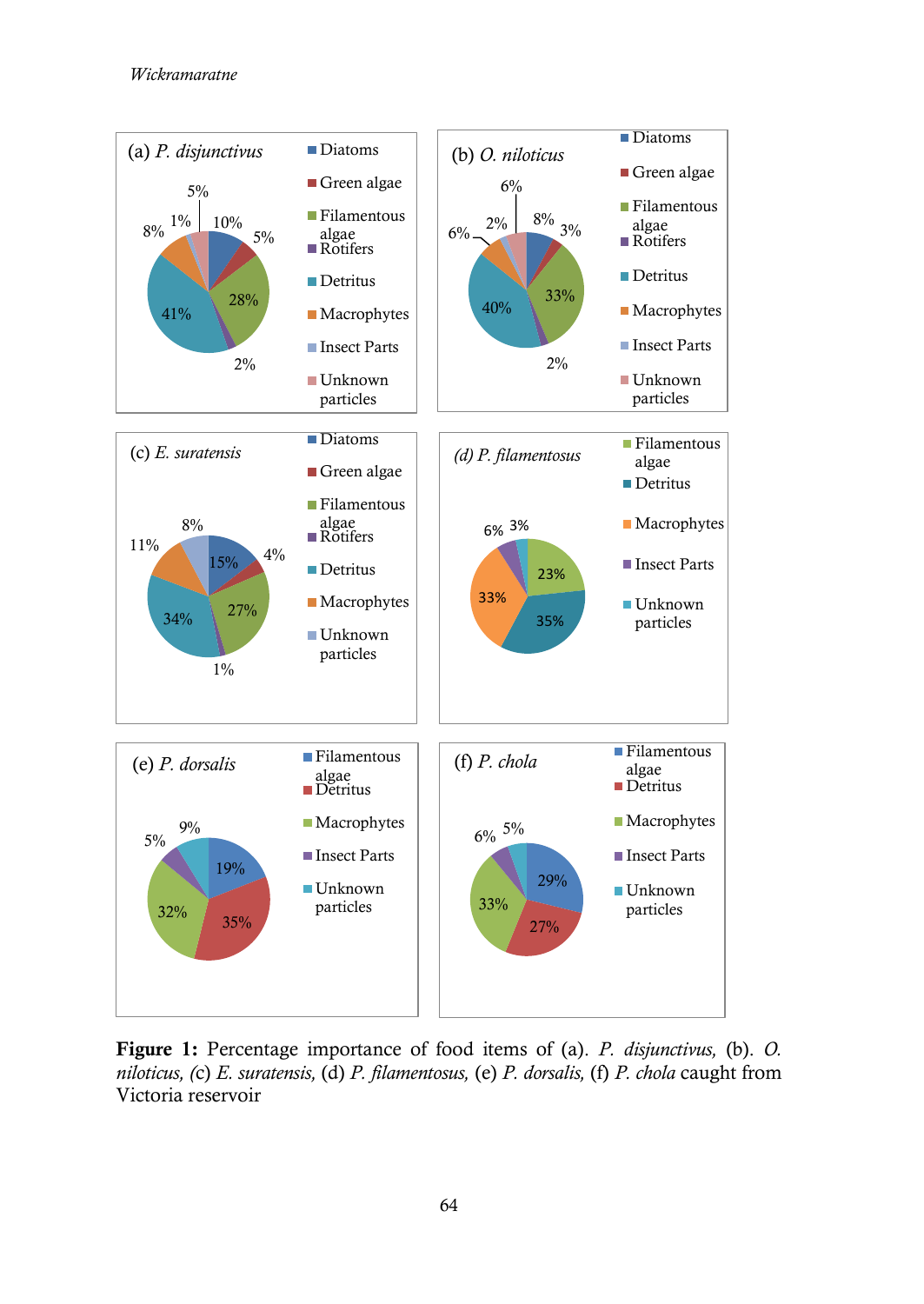

**Figure 1:** Percentage importance of food items of (a). *P. disjunctivus,* (b). *O. niloticus, (*c) *E. suratensis,* (d) *P. filamentosus,* (e) *P. dorsalis,* (f) *P. chola* caught from Victoria reservoir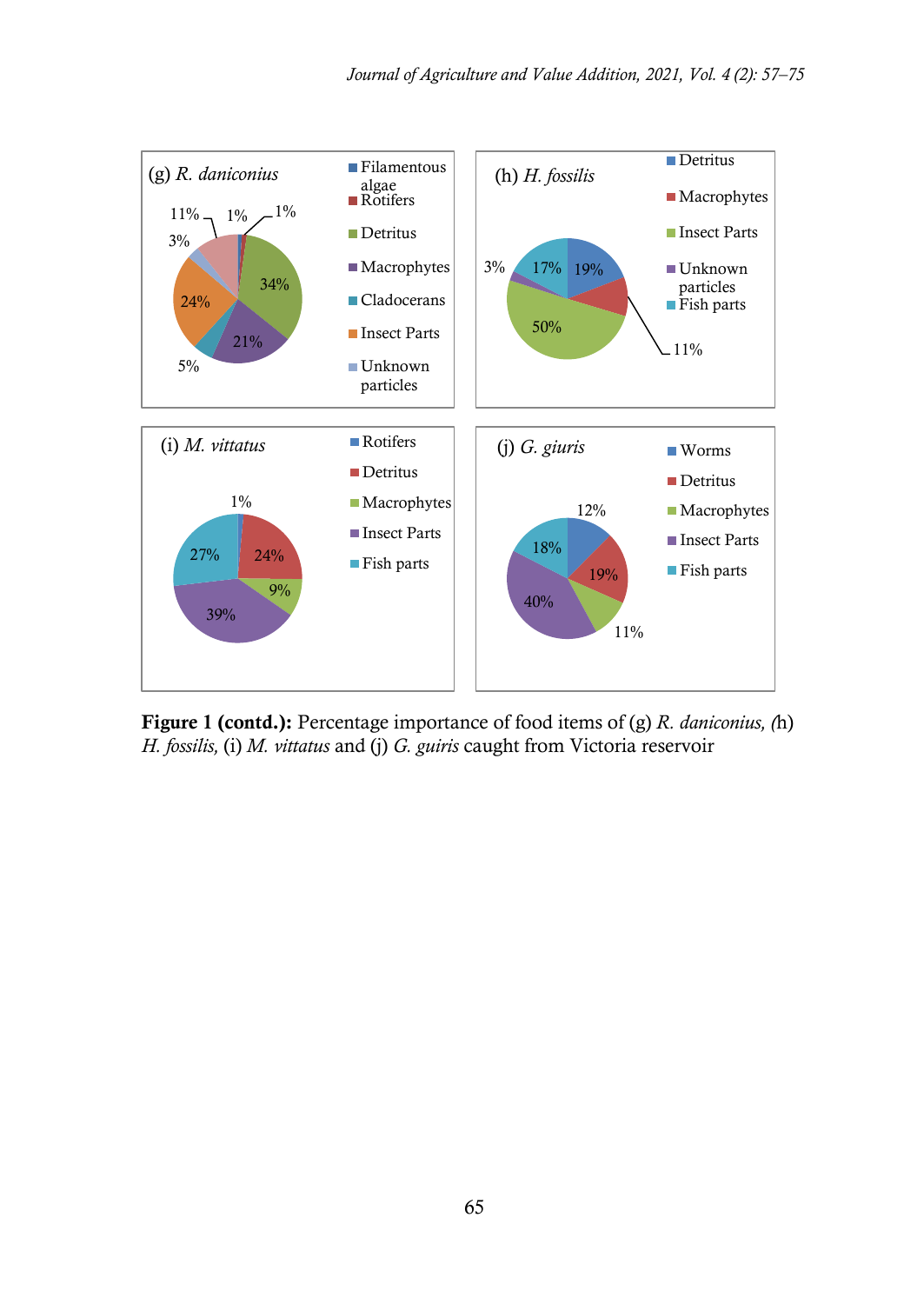

**Figure 1 (contd.):** Percentage importance of food items of (g) *R. daniconius, (*h) *H. fossilis,* (i) *M. vittatus* and (j) *G. guiris* caught from Victoria reservoir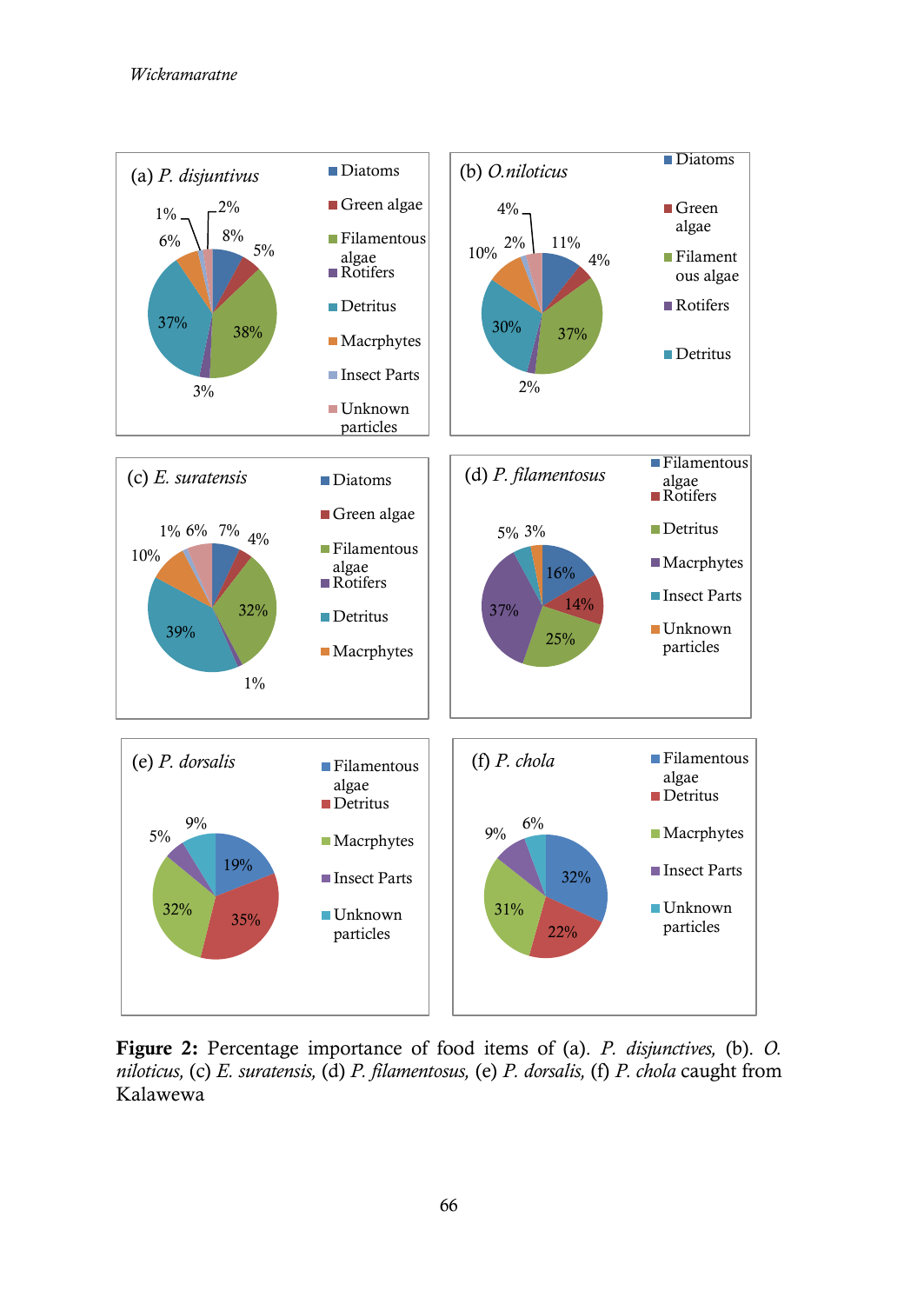

**Figure 2:** Percentage importance of food items of (a). *P. disjunctives,* (b). *O. niloticus,* (c) *E. suratensis,* (d) *P. filamentosus,* (e) *P. dorsalis,* (f) *P. chola* caught from Kalawewa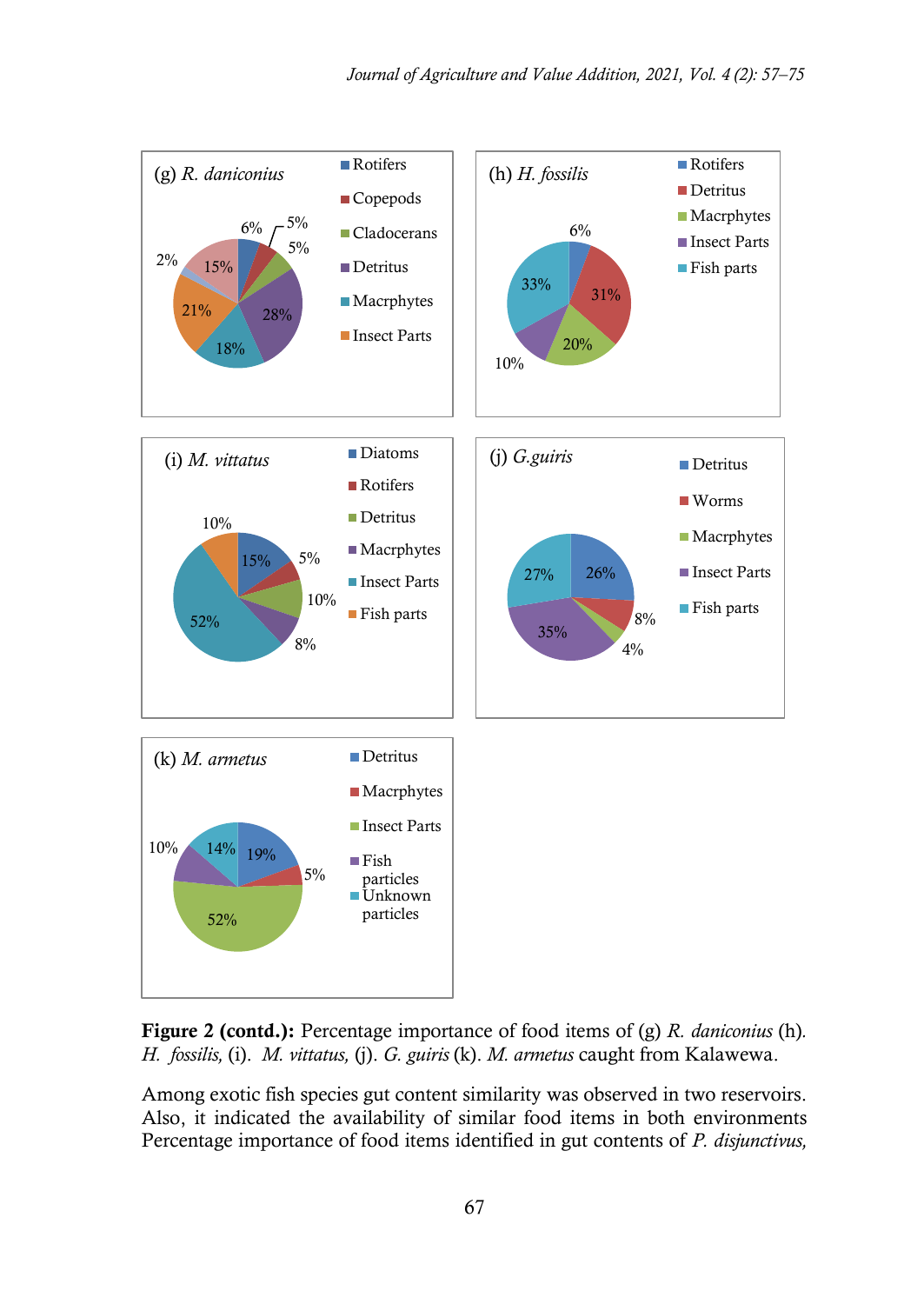

**Figure 2 (contd.):** Percentage importance of food items of (g) *R. daniconius* (h)*. H. fossilis,* (i). *M. vittatus,* (j). *G. guiris* (k). *M. armetus* caught from Kalawewa.

Among exotic fish species gut content similarity was observed in two reservoirs. Also, it indicated the availability of similar food items in both environments Percentage importance of food items identified in gut contents of *P. disjunctivus,*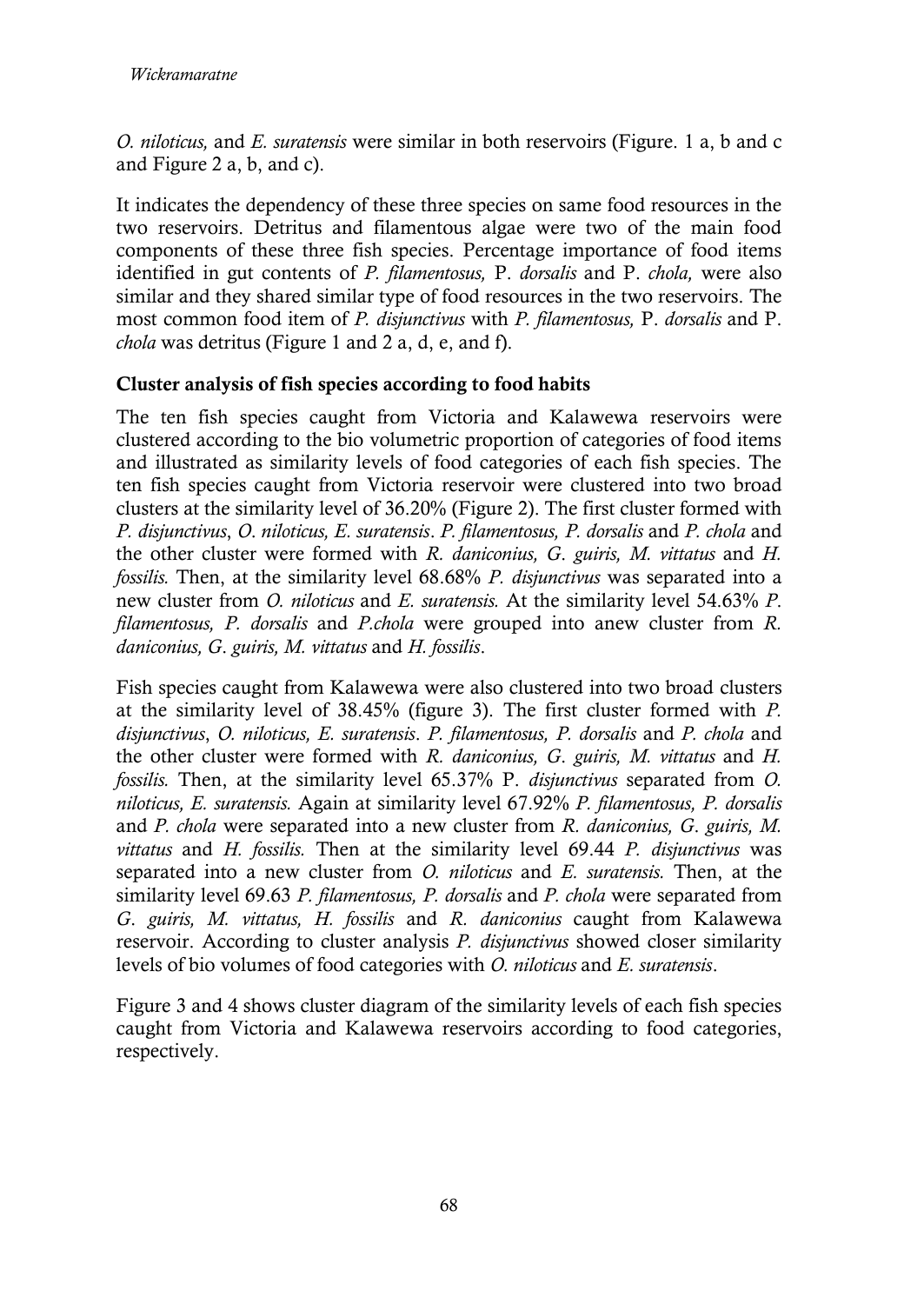*O. niloticus,* and *E. suratensis* were similar in both reservoirs (Figure. 1 a, b and c and Figure 2 a, b, and c).

It indicates the dependency of these three species on same food resources in the two reservoirs. Detritus and filamentous algae were two of the main food components of these three fish species. Percentage importance of food items identified in gut contents of *P. filamentosus,* P. *dorsalis* and P. *chola,* were also similar and they shared similar type of food resources in the two reservoirs. The most common food item of *P. disjunctivus* with *P. filamentosus,* P. *dorsalis* and P. *chola* was detritus (Figure 1 and 2 a, d, e, and f).

## **Cluster analysis of fish species according to food habits**

The ten fish species caught from Victoria and Kalawewa reservoirs were clustered according to the bio volumetric proportion of categories of food items and illustrated as similarity levels of food categories of each fish species. The ten fish species caught from Victoria reservoir were clustered into two broad clusters at the similarity level of 36.20% (Figure 2). The first cluster formed with *P. disjunctivus*, *O*. *niloticus, E. suratensis*. *P. filamentosus, P. dorsalis* and *P. chola* and the other cluster were formed with *R. daniconius, G*. *guiris, M. vittatus* and *H. fossilis.* Then, at the similarity level 68.68% *P. disjunctivus* was separated into a new cluster from *O. niloticus* and *E. suratensis.* At the similarity level 54.63% *P*. *filamentosus, P. dorsalis* and *P.chola* were grouped into anew cluster from *R. daniconius, G*. *guiris, M. vittatus* and *H. fossilis*.

Fish species caught from Kalawewa were also clustered into two broad clusters at the similarity level of 38.45% (figure 3). The first cluster formed with *P. disjunctivus*, *O. niloticus, E. suratensis*. *P. filamentosus, P. dorsalis* and *P. chola* and the other cluster were formed with *R. daniconius, G*. *guiris, M. vittatus* and *H. fossilis.* Then, at the similarity level 65.37% P. *disjunctivus* separated from *O. niloticus, E. suratensis.* Again at similarity level 67.92% *P. filamentosus, P. dorsalis*  and *P. chola* were separated into a new cluster from *R. daniconius, G*. *guiris, M. vittatus* and *H. fossilis.* Then at the similarity level 69.44 *P. disjunctivus* was separated into a new cluster from *O. niloticus* and *E. suratensis.* Then, at the similarity level 69.63 *P. filamentosus, P. dorsalis* and *P. chola* were separated from *G*. *guiris, M. vittatus, H. fossilis* and *R. daniconius* caught from Kalawewa reservoir. According to cluster analysis *P. disjunctivus* showed closer similarity levels of bio volumes of food categories with *O. niloticus* and *E. suratensis*.

Figure 3 and 4 shows cluster diagram of the similarity levels of each fish species caught from Victoria and Kalawewa reservoirs according to food categories, respectively.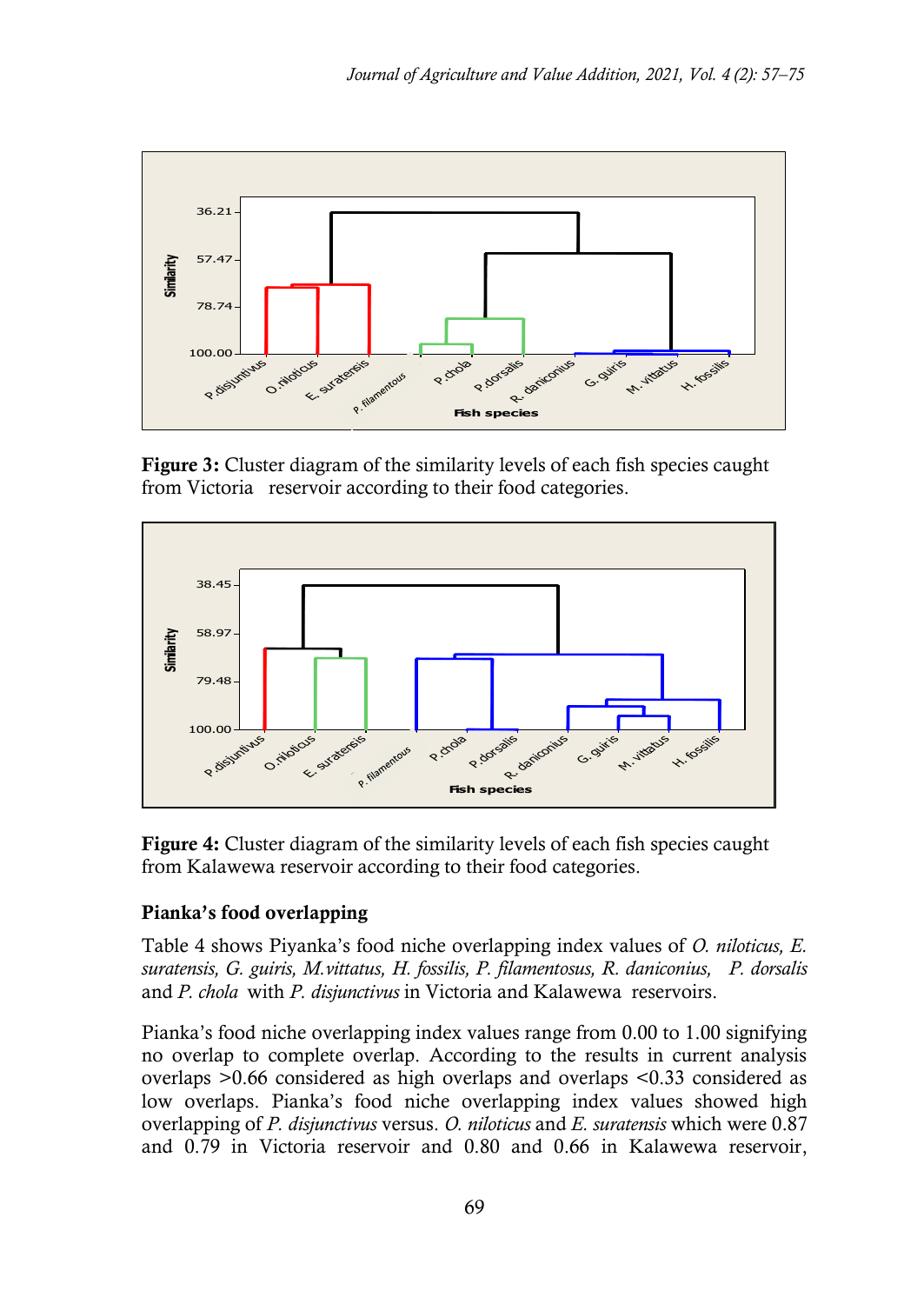

**Figure 3:** Cluster diagram of the similarity levels of each fish species caught from Victoria reservoir according to their food categories.



**Figure 4:** Cluster diagram of the similarity levels of each fish species caught from Kalawewa reservoir according to their food categories.

## **Pianka's food overlapping**

Table 4 shows Piyanka's food niche overlapping index values of *O. niloticus, E. suratensis, G. guiris, M.vittatus, H. fossilis, P. filamentosus, R. daniconius, P. dorsalis*  and *P. chola* with *P. disjunctivus* in Victoria and Kalawewa reservoirs.

Pianka's food niche overlapping index values range from 0.00 to 1.00 signifying no overlap to complete overlap. According to the results in current analysis overlaps >0.66 considered as high overlaps and overlaps <0.33 considered as low overlaps. Pianka's food niche overlapping index values showed high overlapping of *P. disjunctivus* versus. *O. niloticus* and *E. suratensis* which were 0.87 and 0.79 in Victoria reservoir and 0.80 and 0.66 in Kalawewa reservoir,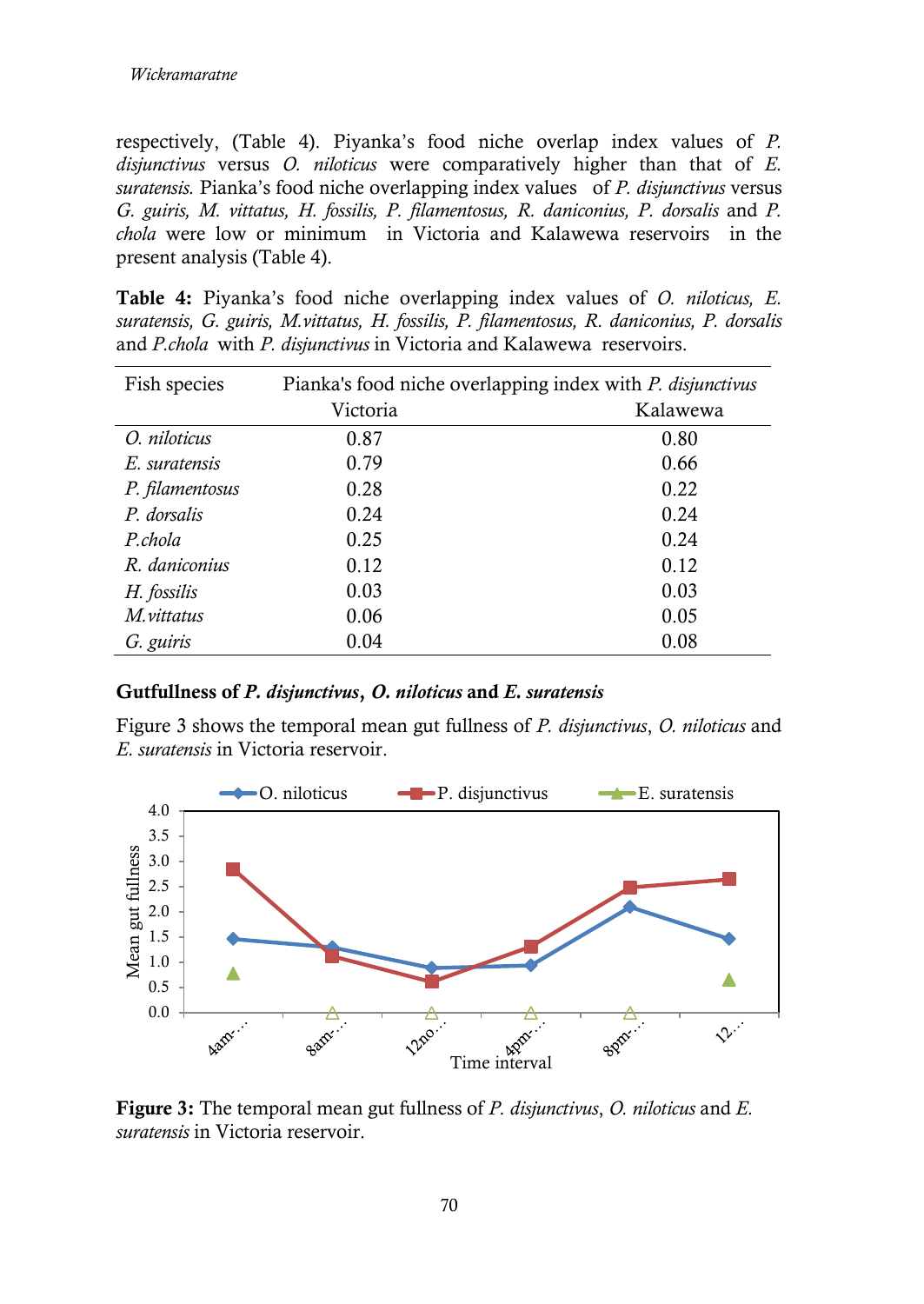respectively, (Table 4). Piyanka's food niche overlap index values of *P. disjunctivus* versus *O. niloticus* were comparatively higher than that of *E. suratensis.* Pianka's food niche overlapping index values of *P. disjunctivus* versus *G. guiris, M. vittatus, H. fossilis, P. filamentosus, R. daniconius, P. dorsalis* and *P. chola* were low or minimum in Victoria and Kalawewa reservoirs in the present analysis (Table 4).

**Table 4:** Piyanka's food niche overlapping index values of *O. niloticus, E. suratensis, G. guiris, M.vittatus, H. fossilis, P. filamentosus, R. daniconius, P. dorsalis*  and *P.chola* with *P. disjunctivus* in Victoria and Kalawewa reservoirs.

| Fish species    | Pianka's food niche overlapping index with <i>P. disjunctivus</i> |          |  |  |
|-----------------|-------------------------------------------------------------------|----------|--|--|
|                 | Victoria                                                          | Kalawewa |  |  |
| O. niloticus    | 0.87                                                              | 0.80     |  |  |
| E. suratensis   | 0.79                                                              | 0.66     |  |  |
| P. filamentosus | 0.28                                                              | 0.22     |  |  |
| P. dorsalis     | 0.24                                                              | 0.24     |  |  |
| P.chola         | 0.25                                                              | 0.24     |  |  |
| R. daniconius   | 0.12                                                              | 0.12     |  |  |
| H. fossilis     | 0.03                                                              | 0.03     |  |  |
| M.vittatus      | 0.06                                                              | 0.05     |  |  |
| G. guiris       | 0.04                                                              | 0.08     |  |  |

**Gutfullness of** *P. disjunctivus***,** *O. niloticus* **and** *E. suratensis*

Figure 3 shows the temporal mean gut fullness of *P. disjunctivus*, *O. niloticus* and *E. suratensis* in Victoria reservoir.



**Figure 3:** The temporal mean gut fullness of *P. disjunctivus*, *O. niloticus* and *E. suratensis* in Victoria reservoir.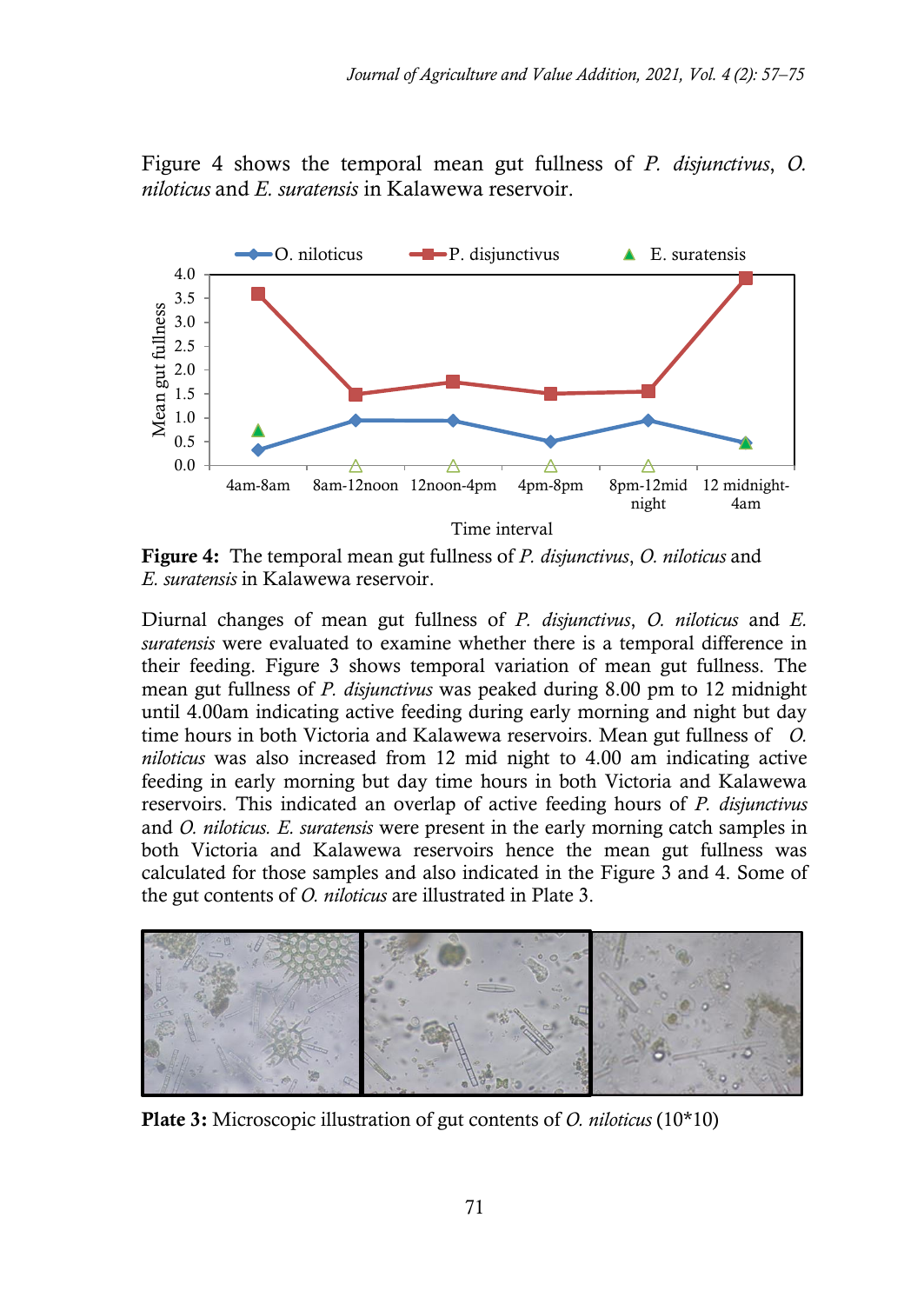Figure 4 shows the temporal mean gut fullness of *P. disjunctivus*, *O. niloticus* and *E. suratensis* in Kalawewa reservoir.



**Figure 4:** The temporal mean gut fullness of *P. disjunctivus*, *O. niloticus* and *E. suratensis* in Kalawewa reservoir.

Diurnal changes of mean gut fullness of *P. disjunctivus*, *O. niloticus* and *E. suratensis* were evaluated to examine whether there is a temporal difference in their feeding. Figure 3 shows temporal variation of mean gut fullness. The mean gut fullness of *P. disjunctivus* was peaked during 8.00 pm to 12 midnight until 4.00am indicating active feeding during early morning and night but day time hours in both Victoria and Kalawewa reservoirs. Mean gut fullness of *O. niloticus* was also increased from 12 mid night to 4.00 am indicating active feeding in early morning but day time hours in both Victoria and Kalawewa reservoirs. This indicated an overlap of active feeding hours of *P. disjunctivus*  and *O. niloticus. E. suratensis* were present in the early morning catch samples in both Victoria and Kalawewa reservoirs hence the mean gut fullness was calculated for those samples and also indicated in the Figure 3 and 4. Some of the gut contents of *O. niloticus* are illustrated in Plate 3.



**Plate 3:** Microscopic illustration of gut contents of *O. niloticus* (10\*10)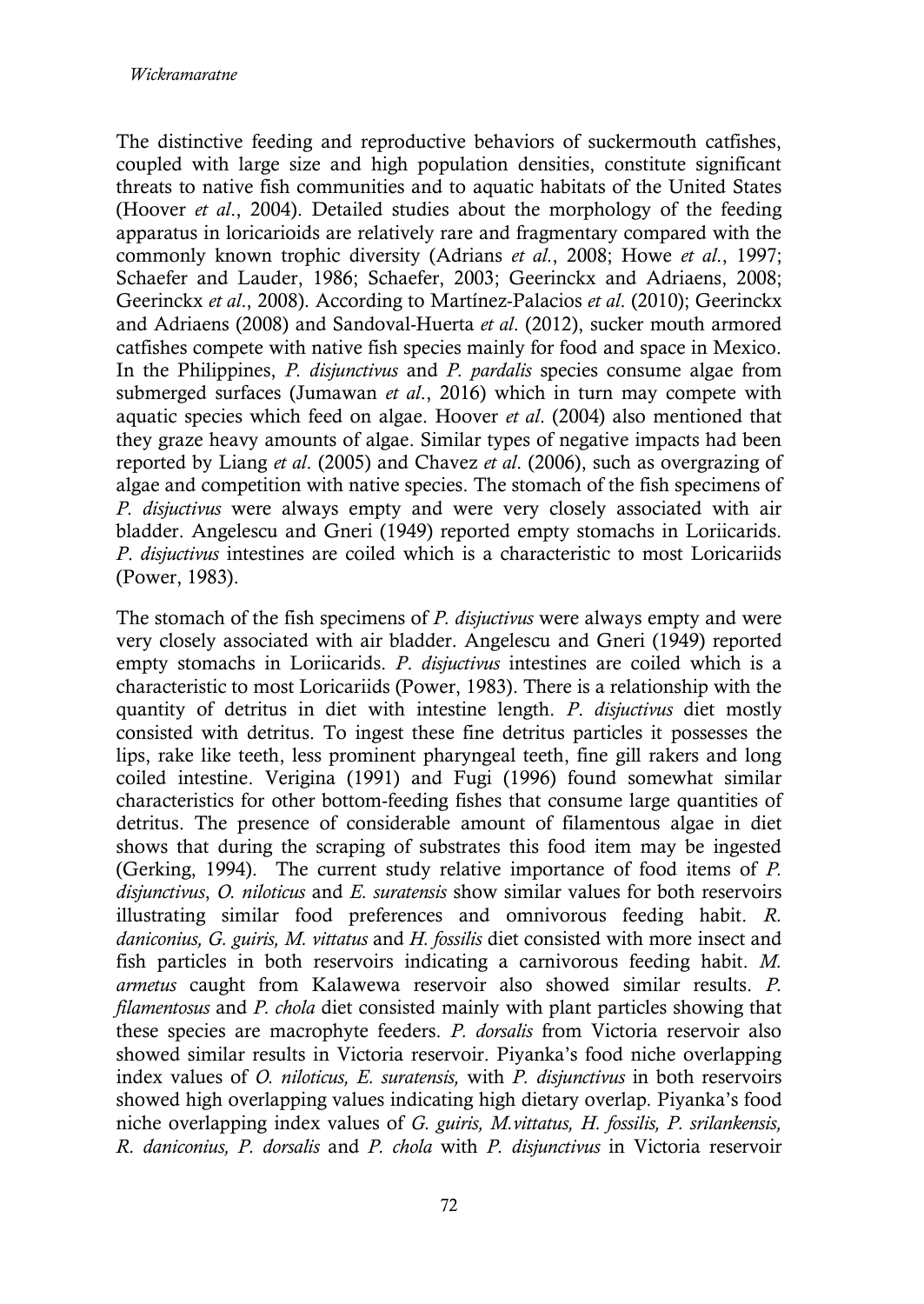The distinctive feeding and reproductive behaviors of suckermouth catfishes, coupled with large size and high population densities, constitute significant threats to native fish communities and to aquatic habitats of the United States (Hoover *et al*., 2004). Detailed studies about the morphology of the feeding apparatus in loricarioids are relatively rare and fragmentary compared with the commonly known trophic diversity (Adrians *et al*., 2008; Howe *et al*., 1997; Schaefer and Lauder, 1986; Schaefer, 2003; Geerinckx and Adriaens, 2008; Geerinckx *et al*., 2008). According to [Martínez-Palacios](http://www.scielo.br/scielo.php?script=sci_arttext&pid=S1679-62252016000300211#B27) *et al*. (2010); Geerinckx and Adriaens (2008) and [Sandoval-Huerta](http://www.scielo.br/scielo.php?script=sci_arttext&pid=S1679-62252016000300211#B41) *et al*. (2012), sucker mouth armored catfishes compete with native fish species mainly for food and space in Mexico. In the Philippines, *P. disjunctivus* and *P. pardalis* species consume algae from submerged surfaces (Jumawan *et al*., 2016) which in turn may compete with aquatic species which feed on algae. Hoover *et al*. (2004) also mentioned that they graze heavy amounts of algae. Similar types of negative impacts had been reported by Liang *et al*. (2005) and Chavez *et al*. (2006), such as overgrazing of algae and competition with native species. The stomach of the fish specimens of *P. disjuctivus* were always empty and were very closely associated with air bladder. Angelescu and Gneri (1949) reported empty stomachs in Loriicarids. *P*. *disjuctivus* intestines are coiled which is a characteristic to most Loricariids (Power, 1983).

The stomach of the fish specimens of *P. disjuctivus* were always empty and were very closely associated with air bladder. Angelescu and Gneri (1949) reported empty stomachs in Loriicarids. *P*. *disjuctivus* intestines are coiled which is a characteristic to most Loricariids (Power, 1983). There is a relationship with the quantity of detritus in diet with intestine length. *P*. *disjuctivus* diet mostly consisted with detritus. To ingest these fine detritus particles it possesses the lips, rake like teeth, less prominent pharyngeal teeth, fine gill rakers and long coiled intestine. Verigina (1991) and Fugi (1996) found somewhat similar characteristics for other bottom-feeding fishes that consume large quantities of detritus. The presence of considerable amount of filamentous algae in diet shows that during the scraping of substrates this food item may be ingested (Gerking, 1994). The current study relative importance of food items of *P. disjunctivus*, *O. niloticus* and *E. suratensis* show similar values for both reservoirs illustrating similar food preferences and omnivorous feeding habit. *R. daniconius, G. guiris, M. vittatus* and *H. fossilis* diet consisted with more insect and fish particles in both reservoirs indicating a carnivorous feeding habit. *M. armetus* caught from Kalawewa reservoir also showed similar results. *P. filamentosus* and *P. chola* diet consisted mainly with plant particles showing that these species are macrophyte feeders. *P. dorsalis* from Victoria reservoir also showed similar results in Victoria reservoir. Piyanka's food niche overlapping index values of *O. niloticus, E. suratensis,* with *P. disjunctivus* in both reservoirs showed high overlapping values indicating high dietary overlap*.* Piyanka's food niche overlapping index values of *G. guiris, M.vittatus, H. fossilis, P. srilankensis, R. daniconius, P. dorsalis* and *P. chola* with *P. disjunctivus* in Victoria reservoir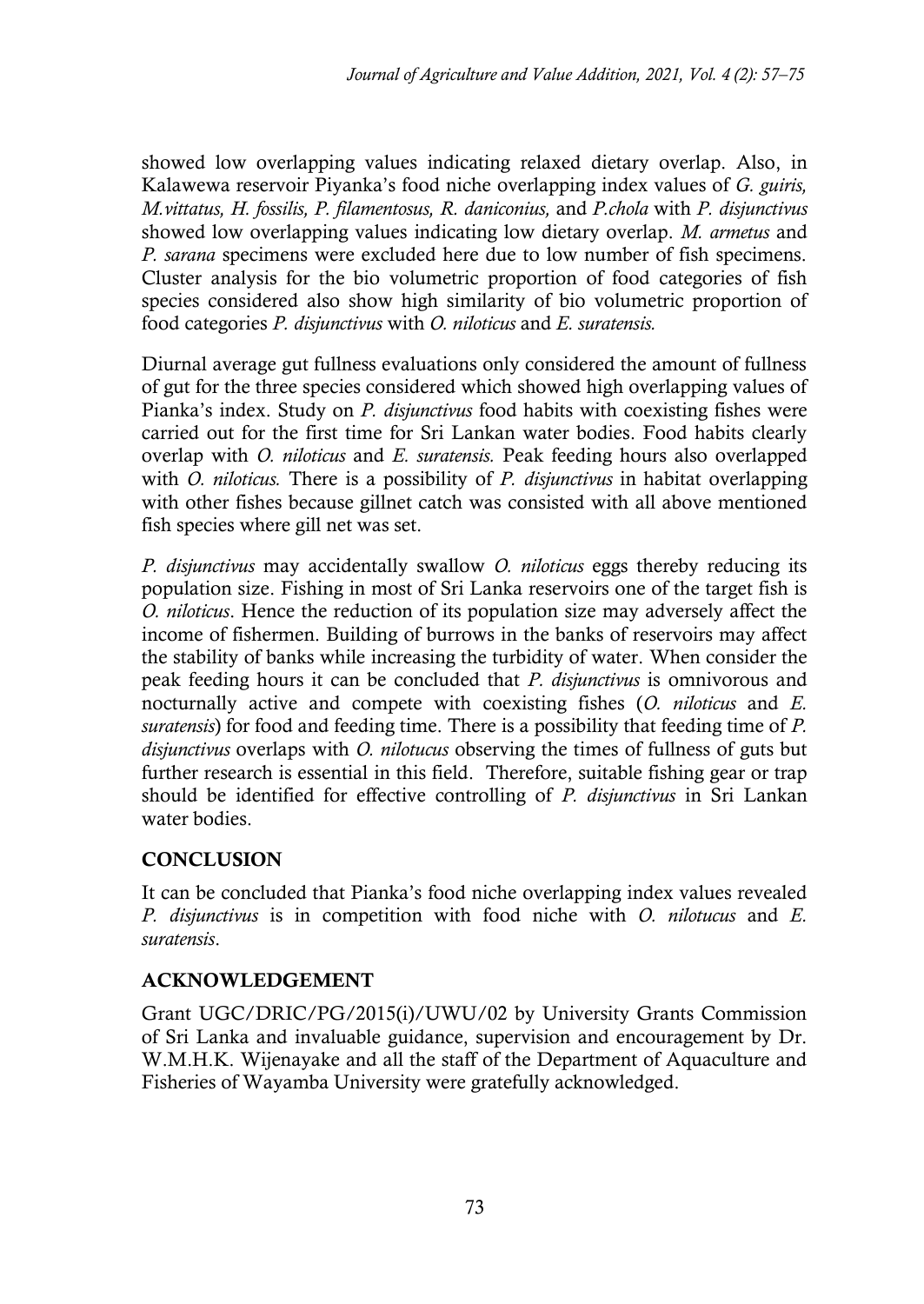showed low overlapping values indicating relaxed dietary overlap. Also, in Kalawewa reservoir Piyanka's food niche overlapping index values of *G. guiris, M.vittatus, H. fossilis, P. filamentosus, R. daniconius,* and *P.chola* with *P. disjunctivus* showed low overlapping values indicating low dietary overlap. *M. armetus* and *P. sarana* specimens were excluded here due to low number of fish specimens. Cluster analysis for the bio volumetric proportion of food categories of fish species considered also show high similarity of bio volumetric proportion of food categories *P. disjunctivus* with *O. niloticus* and *E. suratensis.*

Diurnal average gut fullness evaluations only considered the amount of fullness of gut for the three species considered which showed high overlapping values of Pianka's index. Study on *P. disjunctivus* food habits with coexisting fishes were carried out for the first time for Sri Lankan water bodies. Food habits clearly overlap with *O. niloticus* and *E. suratensis.* Peak feeding hours also overlapped with *O. niloticus.* There is a possibility of *P. disjunctivus* in habitat overlapping with other fishes because gillnet catch was consisted with all above mentioned fish species where gill net was set.

*P. disjunctivus* may accidentally swallow *O. niloticus* eggs thereby reducing its population size. Fishing in most of Sri Lanka reservoirs one of the target fish is *O. niloticus*. Hence the reduction of its population size may adversely affect the income of fishermen. Building of burrows in the banks of reservoirs may affect the stability of banks while increasing the turbidity of water. When consider the peak feeding hours it can be concluded that *P. disjunctivus* is omnivorous and nocturnally active and compete with coexisting fishes (*O. niloticus* and *E. suratensis*) for food and feeding time. There is a possibility that feeding time of *P. disjunctivus* overlaps with *O. nilotucus* observing the times of fullness of guts but further research is essential in this field. Therefore, suitable fishing gear or trap should be identified for effective controlling of *P. disjunctivus* in Sri Lankan water bodies.

# **CONCLUSION**

It can be concluded that Pianka's food niche overlapping index values revealed *P. disjunctivus* is in competition with food niche with *O. nilotucus* and *E. suratensis*.

# **ACKNOWLEDGEMENT**

Grant UGC/DRIC/PG/2015(i)/UWU/02 by University Grants Commission of Sri Lanka and invaluable guidance, supervision and encouragement by Dr. W.M.H.K. Wijenayake and all the staff of the Department of Aquaculture and Fisheries of Wayamba University were gratefully acknowledged.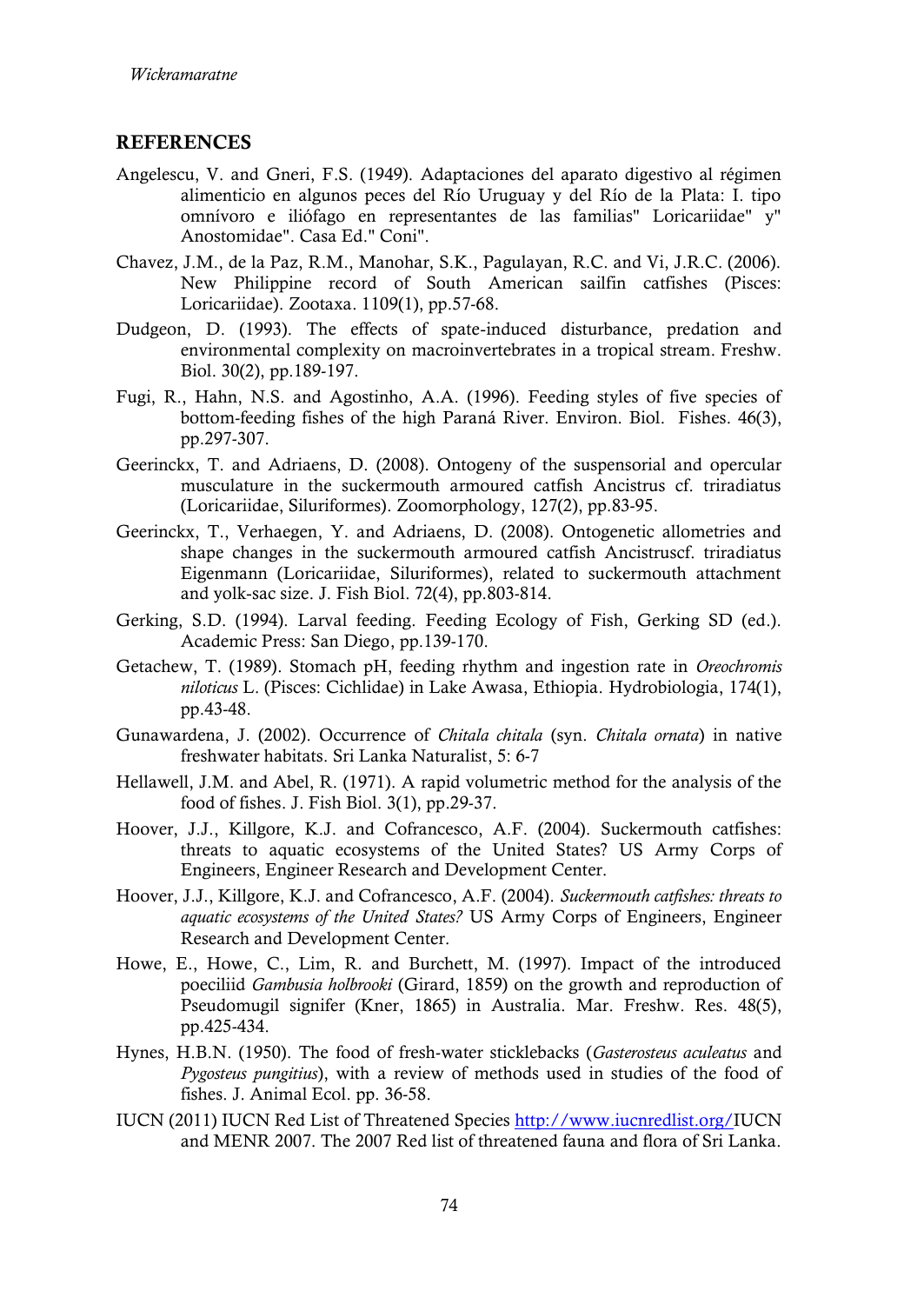#### **REFERENCES**

- Angelescu, V. and Gneri, F.S. (1949). Adaptaciones del aparato digestivo al régimen alimenticio en algunos peces del Río Uruguay y del Río de la Plata: I. tipo omnívoro e iliófago en representantes de las familias" Loricariidae" y" Anostomidae". Casa Ed." Coni".
- Chavez, J.M., de la Paz, R.M., Manohar, S.K., Pagulayan, R.C. and Vi, J.R.C. (2006). New Philippine record of South American sailfin catfishes (Pisces: Loricariidae). Zootaxa. 1109(1), pp.57-68.
- Dudgeon, D. (1993). The effects of spate‐induced disturbance, predation and environmental complexity on macroinvertebrates in a tropical stream. Freshw. Biol. 30(2), pp.189-197.
- Fugi, R., Hahn, N.S. and Agostinho, A.A. (1996). Feeding styles of five species of bottom-feeding fishes of the high Paraná River. Environ. Biol. Fishes. 46(3), pp.297-307.
- Geerinckx, T. and Adriaens, D. (2008). Ontogeny of the suspensorial and opercular musculature in the suckermouth armoured catfish Ancistrus cf. triradiatus (Loricariidae, Siluriformes). Zoomorphology, 127(2), pp.83-95.
- Geerinckx, T., Verhaegen, Y. and Adriaens, D. (2008). Ontogenetic allometries and shape changes in the suckermouth armoured catfish Ancistruscf. triradiatus Eigenmann (Loricariidae, Siluriformes), related to suckermouth attachment and yolk‐sac size. J. Fish Biol. 72(4), pp.803-814.
- Gerking, S.D. (1994). Larval feeding. Feeding Ecology of Fish, Gerking SD (ed.). Academic Press: San Diego, pp.139-170.
- Getachew, T. (1989). Stomach pH, feeding rhythm and ingestion rate in *Oreochromis niloticus* L. (Pisces: Cichlidae) in Lake Awasa, Ethiopia. Hydrobiologia, 174(1), pp.43-48.
- Gunawardena, J. (2002). Occurrence of *Chitala chitala* (syn. *Chitala ornata*) in native freshwater habitats. Sri Lanka Naturalist, 5: 6-7
- Hellawell, J.M. and Abel, R. (1971). A rapid volumetric method for the analysis of the food of fishes. J. Fish Biol. 3(1), pp.29-37.
- Hoover, J.J., Killgore, K.J. and Cofrancesco, A.F. (2004). Suckermouth catfishes: threats to aquatic ecosystems of the United States? US Army Corps of Engineers, Engineer Research and Development Center.
- Hoover, J.J., Killgore, K.J. and Cofrancesco, A.F. (2004). *Suckermouth catfishes: threats to aquatic ecosystems of the United States?* US Army Corps of Engineers, Engineer Research and Development Center.
- Howe, E., Howe, C., Lim, R. and Burchett, M. (1997). Impact of the introduced poeciliid *Gambusia holbrooki* (Girard, 1859) on the growth and reproduction of Pseudomugil signifer (Kner, 1865) in Australia. Mar. Freshw. Res. 48(5), pp.425-434.
- Hynes, H.B.N. (1950). The food of fresh-water sticklebacks (*Gasterosteus aculeatus* and *Pygosteus pungitius*), with a review of methods used in studies of the food of fishes. J. Animal Ecol. pp. 36-58.
- IUCN (2011) IUCN Red List of Threatened Species [http://www.iucnredlist.org/I](http://www.iucnredlist.org/)UCN and MENR 2007. The 2007 Red list of threatened fauna and flora of Sri Lanka.